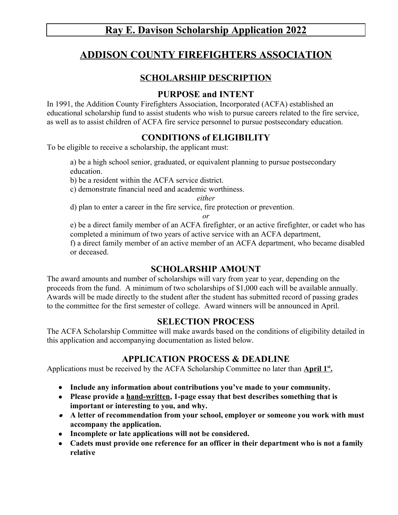# **Ray E. Davison Scholarship Application 2022**

# **ADDISON COUNTY FIREFIGHTERS ASSOCIATION**

### **SCHOLARSHIP DESCRIPTION**

### **PURPOSE and INTENT**

In 1991, the Addition County Firefighters Association, Incorporated (ACFA) established an educational scholarship fund to assist students who wish to pursue careers related to the fire service, as well as to assist children of ACFA fire service personnel to pursue postsecondary education.

### **CONDITIONS of ELIGIBILITY**

To be eligible to receive a scholarship, the applicant must:

a) be a high school senior, graduated, or equivalent planning to pursue postsecondary education.

b) be a resident within the ACFA service district.

c) demonstrate financial need and academic worthiness.

*either*

d) plan to enter a career in the fire service, fire protection or prevention.

*or*

e) be a direct family member of an ACFA firefighter, or an active firefighter, or cadet who has completed a minimum of two years of active service with an ACFA department, f) a direct family member of an active member of an ACFA department, who became disabled or deceased.

## **SCHOLARSHIP AMOUNT**

The award amounts and number of scholarships will vary from year to year, depending on the proceeds from the fund. A minimum of two scholarships of \$1,000 each will be available annually. Awards will be made directly to the student after the student has submitted record of passing grades to the committee for the first semester of college. Award winners will be announced in April.

#### **SELECTION PROCESS**

The ACFA Scholarship Committee will make awards based on the conditions of eligibility detailed in this application and accompanying documentation as listed below.

### **APPLICATION PROCESS & DEADLINE**

Applications must be received by the ACFA Scholarship Committee no later than **April 1<sup>st</sup>**.

- **Include any information about contributions you've made to your community.**
- **Please provide a hand-written, 1-page essay that best describes something that is important or interesting to you, and why.**
- **A letter of recommendation from your school, employer or someone you work with must accompany the application.**
- **Incomplete or late applications will not be considered.**
- **Cadets must provide one reference for an officer in their department who is not a family relative**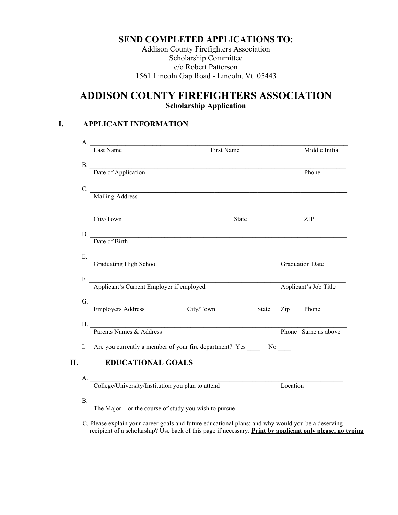#### **SEND COMPLETED APPLICATIONS TO:**

Addison County Firefighters Association Scholarship Committee c/o Robert Patterson 1561 Lincoln Gap Road - Lincoln, Vt. 05443

## **ADDISON COUNTY FIREFIGHTERS ASSOCIATION Scholarship Application**

#### **I. APPLICANT INFORMATION**

|    | Last Name                                            | First Name                                                                 |       |          | Middle Initial         |
|----|------------------------------------------------------|----------------------------------------------------------------------------|-------|----------|------------------------|
|    |                                                      |                                                                            |       |          |                        |
|    |                                                      | B. Date of Application                                                     |       |          | Phone                  |
| C. | Mailing Address                                      |                                                                            |       |          |                        |
|    |                                                      |                                                                            |       |          |                        |
|    | City/Town                                            | <b>State</b>                                                               |       |          | ZIP                    |
|    |                                                      | D. Date of Birth                                                           |       |          |                        |
|    |                                                      |                                                                            |       |          |                        |
|    |                                                      |                                                                            |       |          |                        |
|    | E.<br>Graduating High School                         |                                                                            |       |          | <b>Graduation Date</b> |
|    |                                                      |                                                                            |       |          |                        |
|    | F. Applicant's Current Employer if employed          |                                                                            |       |          | Applicant's Job Title  |
|    | G.<br>Employers Address City/Town                    |                                                                            |       |          |                        |
|    |                                                      |                                                                            | State |          | Zip Phone              |
|    |                                                      | H. Parents Names & Address                                                 |       |          |                        |
|    |                                                      |                                                                            |       |          | Phone Same as above    |
|    |                                                      | I. Are you currently a member of your fire department? Yes ______ No _____ |       |          |                        |
|    | <b>EDUCATIONAL GOALS</b><br>$\Pi$ . The set of $\Pi$ |                                                                            |       |          |                        |
|    |                                                      |                                                                            |       |          |                        |
|    | A. College/University/Institution you plan to attend |                                                                            |       | Location |                        |

 $B.$ 

The Major – or the course of study you wish to pursue

 C. Please explain your career goals and future educational plans; and why would you be a deserving recipient of a scholarship? Use back of this page if necessary. **Print by applicant only please, no typing**